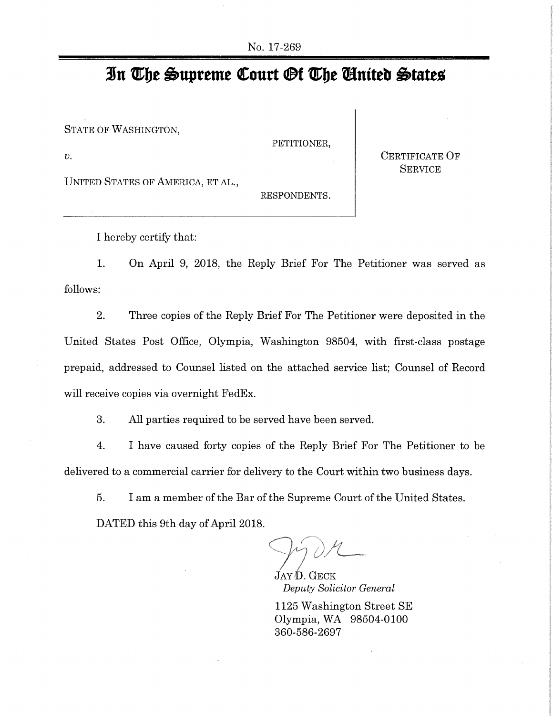## **3u The Supreme Court Of The Uufteb Otacte.0**

STATE OF WASHINGTON,

v. CERTIFICATE OF

PETITIONER,

**SERVICE** 

UNITED STATES OF AMERICA, ET AL.,

RESPONDENTS.

I hereby certify that:

1. On April 9, 2018, the Reply Brief For The Petitioner was served as follows:

2. Three copies of the Reply Brief For The Petitioner were deposited in the United States Post Office, Olympia, Washington 98504, with first-class postage prepaid, addressed to Counsel listed on the attached service list; Counsel of Record will receive copies via overnight FedEx.

3. All parties required to be served have been served.

4. I have caused forty copies of the Reply Brief For The Petitioner to be delivered to a commercial carrier for delivery to the Court within two business days.

5. I am a member of the Bar of the Supreme Court of the United States. DATED this 9th day of April 2018.

d

 $JAYD. GECK$ *Deputy Solicitor General* 

1125 Washington Street SE Olympia, WA 98504-0100 360-586-2697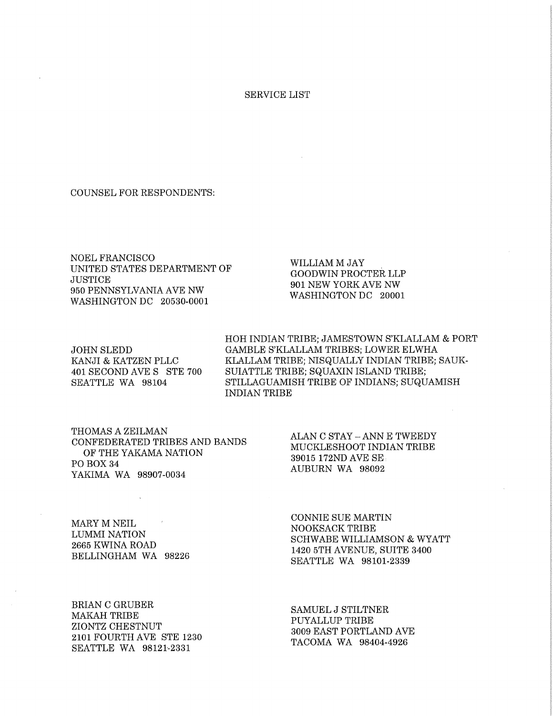## SERVICE LIST

COUNSEL FOR RESPONDENTS:

NOEL FRANCISCO UNITED STATES DEPARTMENT OF **JUSTICE** 950 PENNSYLVANIA AVE NW WASHINGTON DC 20530-0001

WILLIAM M JAY GOODWIN PROCTER LLP 901 NEW YORK AVE NW WASHINGTON DC 20001

HOH INDIAN TRIBE; JAMESTOWN S'KLALLAM & PORT JOHN SLEDD GAMBLE S'KLALLAM TRIBES; LOWER ELWHA KANJI & KATZEN PLLC KLALLAM TRIBE; NISQUALLY INDIAN TRIBE; SAUK-401 SECOND AVE S STE 700 SUTATTLE TRIBE; SQUAXIN ISLAND TRIBE; SEATTLE WA 98104 STILLAGUAMISH TRIBE OF INDIANS; SUQUAMISH INDIAN TRIBE

THOMAS A ZEILMAN CONFEDERATED TRIBES AND BANDS OF THE YAKAMA NATION PO BOX 34 YAKIMA WA 98907-0034

ALAN C STAY - ANN E TWEEDY MUCKLESHOOT INDIAN TRIBE 39015 172ND AVE SE AUBURN WA 98092

MARY M NEIL LUMMI NATION 2665 KWINA ROAD BELLINGHAM WA 98226

BRIAN C GRUBER MAKAH TRIBE ZIONTZ CHESTNUT 2101 FOURTH AVE STE 1230 SEATTLE WA 98121-2331

CONNIE SUE MARTIN NOOKSACK TRIBE SCHWABE WILLIAMSON & WYATT 1420 5TH AVENUE, SUITE 3400 SEATTLE WA 98101-2339

SAMUEL J STILTNER PUYALLUP TRIBE 3009 EAST PORTLAND AVE TACOMA WA 98404-4926